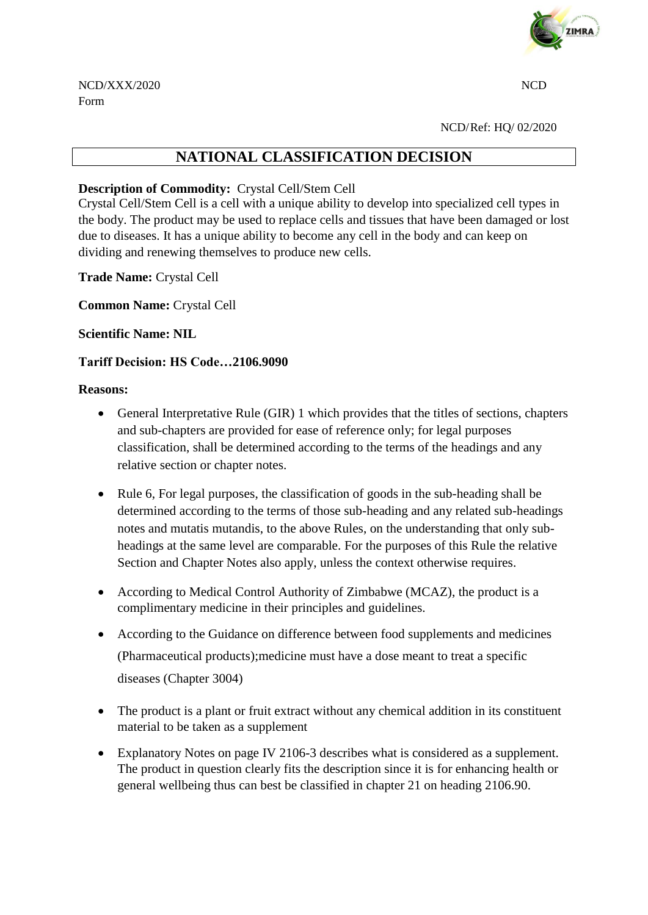

NCD/Ref: HQ/ 02/2020

# **NATIONAL CLASSIFICATION DECISION**

## **Description of Commodity:** Crystal Cell/Stem Cell

Crystal Cell/Stem Cell is a cell with a unique ability to develop into specialized cell types in the body. The product may be used to replace cells and tissues that have been damaged or lost due to diseases. It has a unique ability to become any cell in the body and can keep on dividing and renewing themselves to produce new cells.

**Trade Name:** Crystal Cell

**Common Name:** Crystal Cell

## **Scientific Name: NIL**

## **Tariff Decision: HS Code…2106.9090**

### **Reasons:**

- General Interpretative Rule (GIR) 1 which provides that the titles of sections, chapters and sub-chapters are provided for ease of reference only; for legal purposes classification, shall be determined according to the terms of the headings and any relative section or chapter notes.
- Rule 6, For legal purposes, the classification of goods in the sub-heading shall be determined according to the terms of those sub-heading and any related sub-headings notes and mutatis mutandis, to the above Rules, on the understanding that only subheadings at the same level are comparable. For the purposes of this Rule the relative Section and Chapter Notes also apply, unless the context otherwise requires.
- According to Medical Control Authority of Zimbabwe (MCAZ), the product is a complimentary medicine in their principles and guidelines.
- According to the Guidance on difference between food supplements and medicines (Pharmaceutical products);medicine must have a dose meant to treat a specific diseases (Chapter 3004)
- The product is a plant or fruit extract without any chemical addition in its constituent material to be taken as a supplement
- Explanatory Notes on page IV 2106-3 describes what is considered as a supplement. The product in question clearly fits the description since it is for enhancing health or general wellbeing thus can best be classified in chapter 21 on heading 2106.90.